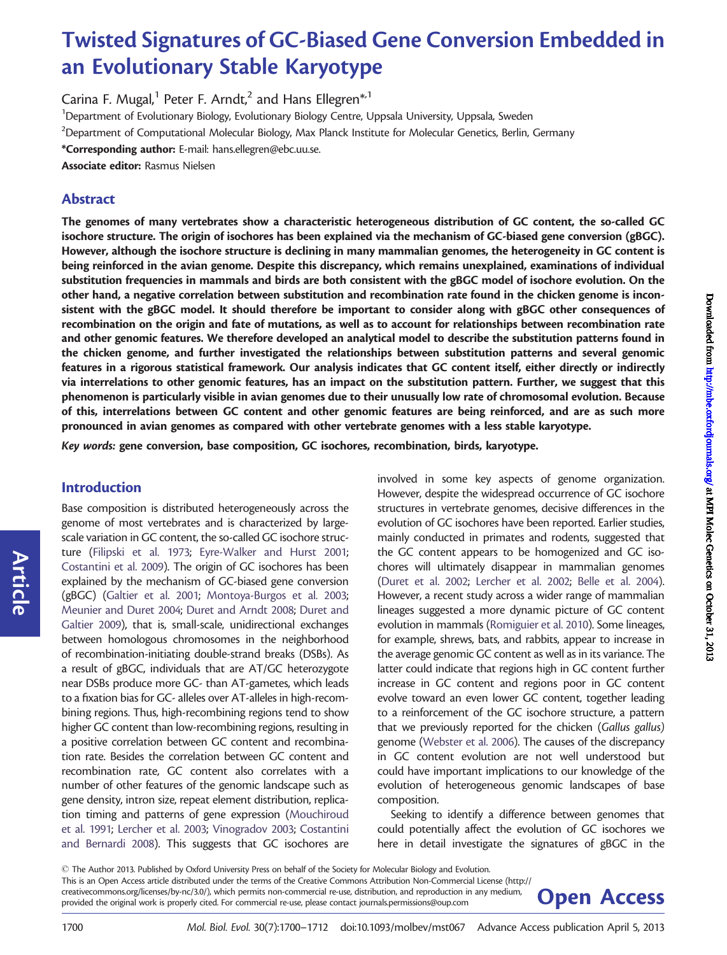# Twisted Signatures of GC-Biased Gene Conversion Embedded in an Evolutionary Stable Karyotype

Carina F. Mugal,<sup>1</sup> Peter F. Arndt,<sup>2</sup> and Hans Ellegren<sup>\*,1</sup>

<sup>1</sup>Department of Evolutionary Biology, Evolutionary Biology Centre, Uppsala University, Uppsala, Sweden

 $^2$ Department of Computational Molecular Biology, Max Planck Institute for Molecular Genetics, Berlin, Germany

\*Corresponding author: E-mail: hans.ellegren@ebc.uu.se.

Associate editor: Rasmus Nielsen

# Abstract

The genomes of many vertebrates show a characteristic heterogeneous distribution of GC content, the so-called GC isochore structure. The origin of isochores has been explained via the mechanism of GC-biased gene conversion (gBGC). However, although the isochore structure is declining in many mammalian genomes, the heterogeneity in GC content is being reinforced in the avian genome. Despite this discrepancy, which remains unexplained, examinations of individual substitution frequencies in mammals and birds are both consistent with the gBGC model of isochore evolution. On the other hand, a negative correlation between substitution and recombination rate found in the chicken genome is inconsistent with the gBGC model. It should therefore be important to consider along with gBGC other consequences of recombination on the origin and fate of mutations, as well as to account for relationships between recombination rate and other genomic features. We therefore developed an analytical model to describe the substitution patterns found in the chicken genome, and further investigated the relationships between substitution patterns and several genomic features in a rigorous statistical framework. Our analysis indicates that GC content itself, either directly or indirectly via interrelations to other genomic features, has an impact on the substitution pattern. Further, we suggest that this phenomenon is particularly visible in avian genomes due to their unusually low rate of chromosomal evolution. Because of this, interrelations between GC content and other genomic features are being reinforced, and are as such more pronounced in avian genomes as compared with other vertebrate genomes with a less stable karyotype.

Key words: gene conversion, base composition, GC isochores, recombination, birds, karyotype.

## Introduction

Article

Base composition is distributed heterogeneously across the genome of most vertebrates and is characterized by largescale variation in GC content, the so-called GC isochore structure [\(Filipski et al. 1973](#page-11-0); [Eyre-Walker and Hurst 2001;](#page-11-0) [Costantini et al. 2009\)](#page-11-0). The origin of GC isochores has been explained by the mechanism of GC-biased gene conversion (gBGC) [\(Galtier et al. 2001;](#page-11-0) [Montoya-Burgos et al. 2003;](#page-12-0) [Meunier and Duret 2004;](#page-12-0) [Duret and Arndt 2008;](#page-11-0) [Duret and](#page-11-0) [Galtier 2009](#page-11-0)), that is, small-scale, unidirectional exchanges between homologous chromosomes in the neighborhood of recombination-initiating double-strand breaks (DSBs). As a result of gBGC, individuals that are AT/GC heterozygote near DSBs produce more GC- than AT-gametes, which leads to a fixation bias for GC- alleles over AT-alleles in high-recombining regions. Thus, high-recombining regions tend to show higher GC content than low-recombining regions, resulting in a positive correlation between GC content and recombination rate. Besides the correlation between GC content and recombination rate, GC content also correlates with a number of other features of the genomic landscape such as gene density, intron size, repeat element distribution, replication timing and patterns of gene expression [\(Mouchiroud](#page-12-0) [et al. 1991](#page-12-0); [Lercher et al. 2003](#page-12-0); [Vinogradov 2003;](#page-12-0) [Costantini](#page-11-0) [and Bernardi 2008](#page-11-0)). This suggests that GC isochores are involved in some key aspects of genome organization. However, despite the widespread occurrence of GC isochore structures in vertebrate genomes, decisive differences in the evolution of GC isochores have been reported. Earlier studies, mainly conducted in primates and rodents, suggested that the GC content appears to be homogenized and GC isochores will ultimately disappear in mammalian genomes [\(Duret et al. 2002](#page-11-0); [Lercher et al. 2002;](#page-12-0) [Belle et al. 2004\)](#page-11-0). However, a recent study across a wider range of mammalian lineages suggested a more dynamic picture of GC content evolution in mammals [\(Romiguier et al. 2010\)](#page-12-0). Some lineages, for example, shrews, bats, and rabbits, appear to increase in the average genomic GC content as well as in its variance. The latter could indicate that regions high in GC content further increase in GC content and regions poor in GC content evolve toward an even lower GC content, together leading to a reinforcement of the GC isochore structure, a pattern that we previously reported for the chicken (Gallus gallus) genome [\(Webster et al. 2006\)](#page-12-0). The causes of the discrepancy in GC content evolution are not well understood but could have important implications to our knowledge of the evolution of heterogeneous genomic landscapes of base composition.

Seeking to identify a difference between genomes that could potentially affect the evolution of GC isochores we here in detail investigate the signatures of gBGC in the

 $\odot$  The Author 2013. Published by Oxford University Press on behalf of the Society for Molecular Biology and Evolution. This is an Open Access article distributed under the terms of the Creative Commons Attribution Non-Commercial License (http:// creativecommons.org/licenses/by-nc/3.0/), which permits non-commercial re-use, distribution, and reproduction in any medium, **Open Access**<br>provided the original work is properly cited. For commercial re-use, please contact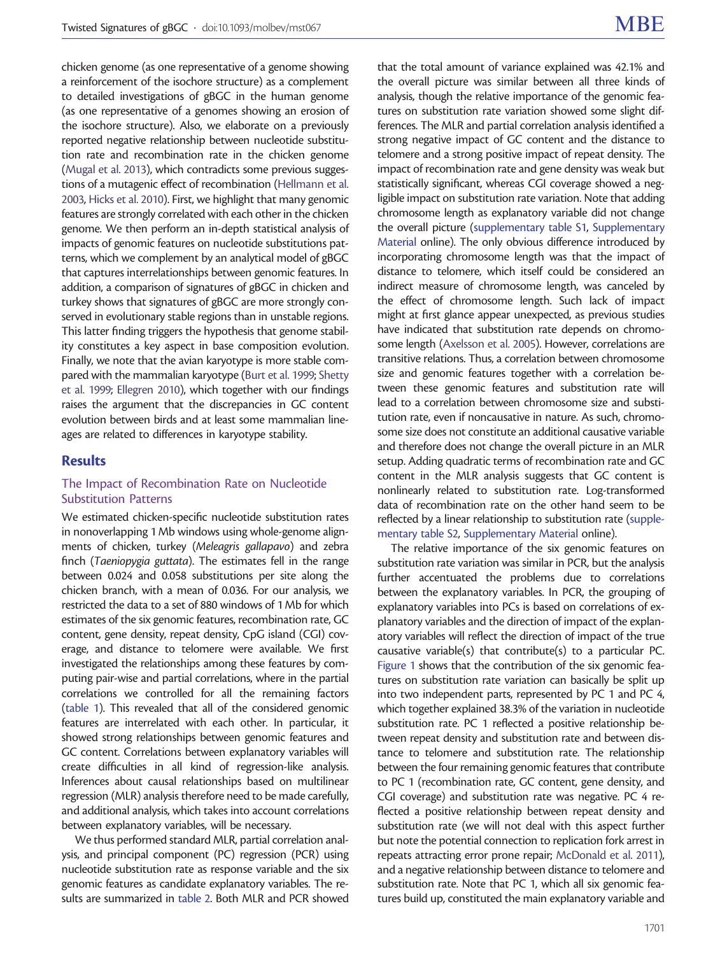chicken genome (as one representative of a genome showing a reinforcement of the isochore structure) as a complement to detailed investigations of gBGC in the human genome (as one representative of a genomes showing an erosion of the isochore structure). Also, we elaborate on a previously reported negative relationship between nucleotide substitution rate and recombination rate in the chicken genome ([Mugal et al. 2013\)](#page-12-0), which contradicts some previous suggestions of a mutagenic effect of recombination ([Hellmann et al.](#page-11-0) [2003,](#page-11-0) [Hicks et al. 2010\)](#page-12-0). First, we highlight that many genomic features are strongly correlated with each other in the chicken genome. We then perform an in-depth statistical analysis of impacts of genomic features on nucleotide substitutions patterns, which we complement by an analytical model of gBGC that captures interrelationships between genomic features. In addition, a comparison of signatures of gBGC in chicken and turkey shows that signatures of gBGC are more strongly conserved in evolutionary stable regions than in unstable regions. This latter finding triggers the hypothesis that genome stability constitutes a key aspect in base composition evolution. Finally, we note that the avian karyotype is more stable compared with the mammalian karyotype ([Burt et al. 1999](#page-11-0); [Shetty](#page-12-0) [et al. 1999;](#page-12-0) [Ellegren 2010](#page-11-0)), which together with our findings raises the argument that the discrepancies in GC content evolution between birds and at least some mammalian lineages are related to differences in karyotype stability.

## Results

# The Impact of Recombination Rate on Nucleotide Substitution Patterns

We estimated chicken-specific nucleotide substitution rates in nonoverlapping 1 Mb windows using whole-genome alignments of chicken, turkey (Meleagris gallapavo) and zebra finch (Taeniopygia guttata). The estimates fell in the range between 0.024 and 0.058 substitutions per site along the chicken branch, with a mean of 0.036. For our analysis, we restricted the data to a set of 880 windows of 1 Mb for which estimates of the six genomic features, recombination rate, GC content, gene density, repeat density, CpG island (CGI) coverage, and distance to telomere were available. We first investigated the relationships among these features by computing pair-wise and partial correlations, where in the partial correlations we controlled for all the remaining factors ([table 1](#page-2-0)). This revealed that all of the considered genomic features are interrelated with each other. In particular, it showed strong relationships between genomic features and GC content. Correlations between explanatory variables will create difficulties in all kind of regression-like analysis. Inferences about causal relationships based on multilinear regression (MLR) analysis therefore need to be made carefully, and additional analysis, which takes into account correlations between explanatory variables, will be necessary.

We thus performed standard MLR, partial correlation analysis, and principal component (PC) regression (PCR) using nucleotide substitution rate as response variable and the six genomic features as candidate explanatory variables. The results are summarized in [table 2](#page-2-0). Both MLR and PCR showed

that the total amount of variance explained was 42.1% and the overall picture was similar between all three kinds of analysis, though the relative importance of the genomic features on substitution rate variation showed some slight differences. The MLR and partial correlation analysis identified a strong negative impact of GC content and the distance to telomere and a strong positive impact of repeat density. The impact of recombination rate and gene density was weak but statistically significant, whereas CGI coverage showed a negligible impact on substitution rate variation. Note that adding chromosome length as explanatory variable did not change the overall picture [\(supplementary table S1,](http://mbe.oxfordjournals.org/lookup/suppl/doi:10.1093/molbev/mst067/-/DC1) [Supplementary](http://mbe.oxfordjournals.org/lookup/suppl/doi:10.1093/molbev/mst067/-/DC1) [Material](http://mbe.oxfordjournals.org/lookup/suppl/doi:10.1093/molbev/mst067/-/DC1) online). The only obvious difference introduced by incorporating chromosome length was that the impact of distance to telomere, which itself could be considered an indirect measure of chromosome length, was canceled by the effect of chromosome length. Such lack of impact might at first glance appear unexpected, as previous studies have indicated that substitution rate depends on chromosome length [\(Axelsson et al. 2005\)](#page-11-0). However, correlations are transitive relations. Thus, a correlation between chromosome size and genomic features together with a correlation between these genomic features and substitution rate will lead to a correlation between chromosome size and substitution rate, even if noncausative in nature. As such, chromosome size does not constitute an additional causative variable and therefore does not change the overall picture in an MLR setup. Adding quadratic terms of recombination rate and GC content in the MLR analysis suggests that GC content is nonlinearly related to substitution rate. Log-transformed data of recombination rate on the other hand seem to be reflected by a linear relationship to substitution rate [\(supple](http://mbe.oxfordjournals.org/lookup/suppl/doi:10.1093/molbev/mst067/-/DC1)[mentary table S2](http://mbe.oxfordjournals.org/lookup/suppl/doi:10.1093/molbev/mst067/-/DC1), [Supplementary Material](http://mbe.oxfordjournals.org/lookup/suppl/doi:10.1093/molbev/mst067/-/DC1) online).

The relative importance of the six genomic features on substitution rate variation was similar in PCR, but the analysis further accentuated the problems due to correlations between the explanatory variables. In PCR, the grouping of explanatory variables into PCs is based on correlations of explanatory variables and the direction of impact of the explanatory variables will reflect the direction of impact of the true causative variable(s) that contribute(s) to a particular PC. [Figure 1](#page-2-0) shows that the contribution of the six genomic features on substitution rate variation can basically be split up into two independent parts, represented by PC 1 and PC 4, which together explained 38.3% of the variation in nucleotide substitution rate. PC 1 reflected a positive relationship between repeat density and substitution rate and between distance to telomere and substitution rate. The relationship between the four remaining genomic features that contribute to PC 1 (recombination rate, GC content, gene density, and CGI coverage) and substitution rate was negative. PC 4 reflected a positive relationship between repeat density and substitution rate (we will not deal with this aspect further but note the potential connection to replication fork arrest in repeats attracting error prone repair; [McDonald et al. 2011\)](#page-12-0), and a negative relationship between distance to telomere and substitution rate. Note that PC 1, which all six genomic features build up, constituted the main explanatory variable and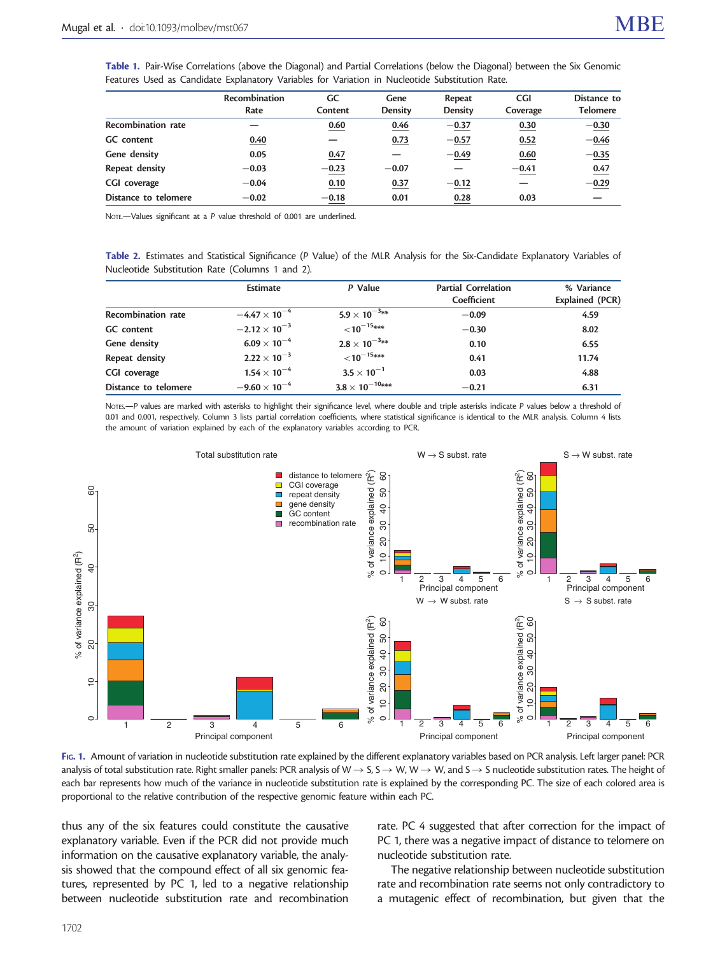|                           | Recombination<br>Rate | GC<br>Content | Gene<br><b>Density</b> | Repeat<br><b>Density</b> | <b>CGI</b><br>Coverage | Distance to<br><b>Telomere</b> |
|---------------------------|-----------------------|---------------|------------------------|--------------------------|------------------------|--------------------------------|
| <b>Recombination rate</b> |                       | 0.60          | 0.46                   | $-0.37$                  | 0.30                   | $-0.30$                        |
| <b>GC</b> content         | 0.40                  |               | 0.73                   | $-0.57$                  | 0.52                   | $-0.46$                        |
| Gene density              | 0.05                  | 0.47          |                        | $-0.49$                  | 0.60                   | $-0.35$                        |
| Repeat density            | $-0.03$               | $-0.23$       | $-0.07$                |                          | $-0.41$                | 0.47                           |
| CGI coverage              | $-0.04$               | 0.10          | 0.37                   | $-0.12$                  |                        | $-0.29$                        |
| Distance to telomere      | $-0.02$               | $-0.18$       | 0.01                   | 0.28                     | 0.03                   |                                |

<span id="page-2-0"></span>Table 1. Pair-Wise Correlations (above the Diagonal) and Partial Correlations (below the Diagonal) between the Six Genomic Features Used as Candidate Explanatory Variables for Variation in Nucleotide Substitution Rate.

NOTE.—Values significant at a P value threshold of 0.001 are underlined.

Table 2. Estimates and Statistical Significance (P Value) of the MLR Analysis for the Six-Candidate Explanatory Variables of Nucleotide Substitution Rate (Columns 1 and 2).

|                      | <b>Estimate</b>        | P Value                   | <b>Partial Correlation</b> | % Variance      |
|----------------------|------------------------|---------------------------|----------------------------|-----------------|
|                      |                        |                           | Coefficient                | Explained (PCR) |
| Recombination rate   | $-4.47 \times 10^{-4}$ | $5.9 \times 10^{-3}$ **   | $-0.09$                    | 4.59            |
| <b>GC</b> content    | $-2.12 \times 10^{-3}$ | $<$ 10 <sup>-15</sup> *** | $-0.30$                    | 8.02            |
| Gene density         | $6.09 \times 10^{-4}$  | $2.8\times10^{-3}$ **     | 0.10                       | 6.55            |
| Repeat density       | $2.22 \times 10^{-3}$  | $\leq 10^{-15***}$        | 0.41                       | 11.74           |
| CGI coverage         | $1.54 \times 10^{-4}$  | $3.5 \times 10^{-1}$      | 0.03                       | 4.88            |
| Distance to telomere | $-9.60 \times 10^{-4}$ | $3.8 \times 10^{-10***}$  | $-0.21$                    | 6.31            |

NOTES.—P values are marked with asterisks to highlight their significance level, where double and triple asterisks indicate P values below a threshold of 0.01 and 0.001, respectively. Column 3 lists partial correlation coefficients, where statistical significance is identical to the MLR analysis. Column 4 lists the amount of variation explained by each of the explanatory variables according to PCR.



FIG. 1. Amount of variation in nucleotide substitution rate explained by the different explanatory variables based on PCR analysis. Left larger panel: PCR analysis of total substitution rate. Right smaller panels: PCR analysis of W  $\rightarrow$  S, S  $\rightarrow$  W, W  $\rightarrow$  W, and S  $\rightarrow$  S nucleotide substitution rates. The height of each bar represents how much of the variance in nucleotide substitution rate is explained by the corresponding PC. The size of each colored area is proportional to the relative contribution of the respective genomic feature within each PC.

thus any of the six features could constitute the causative explanatory variable. Even if the PCR did not provide much information on the causative explanatory variable, the analysis showed that the compound effect of all six genomic features, represented by PC 1, led to a negative relationship between nucleotide substitution rate and recombination

rate. PC 4 suggested that after correction for the impact of PC 1, there was a negative impact of distance to telomere on nucleotide substitution rate.

The negative relationship between nucleotide substitution rate and recombination rate seems not only contradictory to a mutagenic effect of recombination, but given that the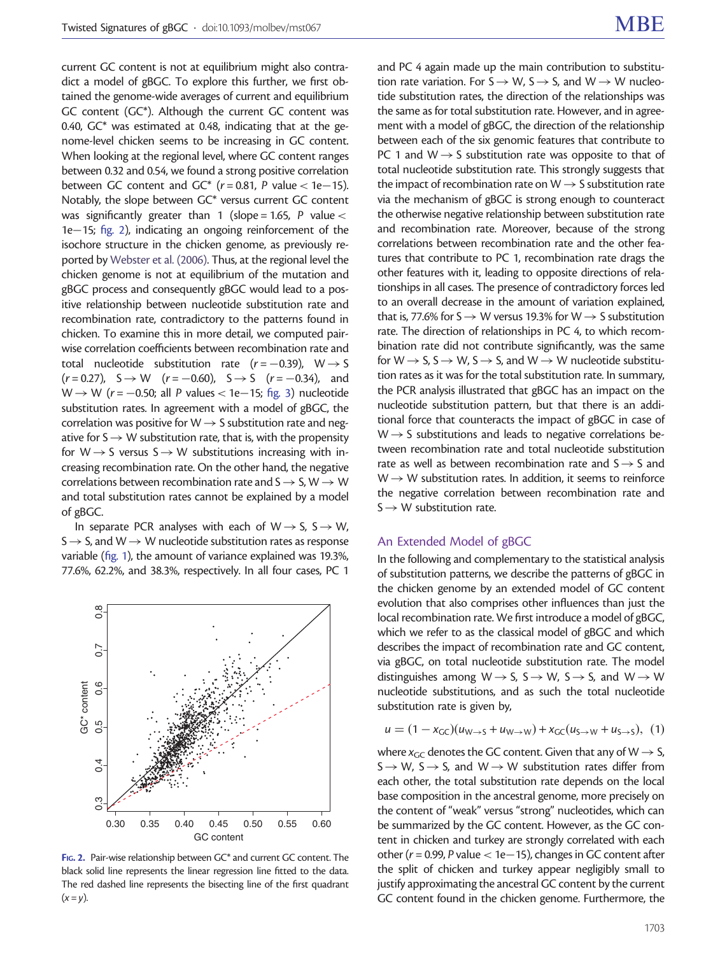current GC content is not at equilibrium might also contradict a model of gBGC. To explore this further, we first obtained the genome-wide averages of current and equilibrium GC content (GC\*). Although the current GC content was 0.40,  $GC^*$  was estimated at 0.48, indicating that at the genome-level chicken seems to be increasing in GC content. When looking at the regional level, where GC content ranges between 0.32 and 0.54, we found a strong positive correlation between GC content and  $GC^*$  ( $r = 0.81$ , P value  $< 1e-15$ ). Notably, the slope between GC\* versus current GC content was significantly greater than 1 (slope = 1.65, P value  $<$ 1e-15; fig. 2), indicating an ongoing reinforcement of the isochore structure in the chicken genome, as previously reported by [Webster et al. \(2006\).](#page-12-0) Thus, at the regional level the chicken genome is not at equilibrium of the mutation and gBGC process and consequently gBGC would lead to a positive relationship between nucleotide substitution rate and recombination rate, contradictory to the patterns found in chicken. To examine this in more detail, we computed pairwise correlation coefficients between recombination rate and total nucleotide substitution rate  $(r=-0.39)$ ,  $W \rightarrow S$  $(r = 0.27)$ ,  $S \to W$   $(r = -0.60)$ ,  $S \to S$   $(r = -0.34)$ , and  $W \rightarrow W$  ( $r = -0.50$ ; all P values < 1e-15; [fig. 3](#page-4-0)) nucleotide substitution rates. In agreement with a model of gBGC, the correlation was positive for  $W \rightarrow S$  substitution rate and negative for  $S \rightarrow W$  substitution rate, that is, with the propensity for  $W \rightarrow S$  versus  $S \rightarrow W$  substitutions increasing with increasing recombination rate. On the other hand, the negative correlations between recombination rate and  $S \rightarrow S$ , W  $\rightarrow$  W and total substitution rates cannot be explained by a model of gBGC.

In separate PCR analyses with each of  $W \rightarrow S$ ,  $S \rightarrow W$ ,  $S \rightarrow S$ , and  $W \rightarrow W$  nucleotide substitution rates as response variable ([fig. 1](#page-2-0)), the amount of variance explained was 19.3%, 77.6%, 62.2%, and 38.3%, respectively. In all four cases, PC 1



FIG. 2. Pair-wise relationship between GC\* and current GC content. The black solid line represents the linear regression line fitted to the data. The red dashed line represents the bisecting line of the first quadrant  $(x = y)$ .

and PC 4 again made up the main contribution to substitution rate variation. For  $S \rightarrow W$ ,  $S \rightarrow S$ , and  $W \rightarrow W$  nucleotide substitution rates, the direction of the relationships was the same as for total substitution rate. However, and in agreement with a model of gBGC, the direction of the relationship between each of the six genomic features that contribute to PC 1 and  $W \rightarrow S$  substitution rate was opposite to that of total nucleotide substitution rate. This strongly suggests that the impact of recombination rate on  $W \rightarrow S$  substitution rate via the mechanism of gBGC is strong enough to counteract the otherwise negative relationship between substitution rate and recombination rate. Moreover, because of the strong correlations between recombination rate and the other features that contribute to PC 1, recombination rate drags the other features with it, leading to opposite directions of relationships in all cases. The presence of contradictory forces led to an overall decrease in the amount of variation explained, that is, 77.6% for S  $\rightarrow$  W versus 19.3% for W  $\rightarrow$  S substitution rate. The direction of relationships in PC 4, to which recombination rate did not contribute significantly, was the same for  $W \rightarrow S$ ,  $S \rightarrow W$ ,  $S \rightarrow S$ , and  $W \rightarrow W$  nucleotide substitution rates as it was for the total substitution rate. In summary, the PCR analysis illustrated that gBGC has an impact on the nucleotide substitution pattern, but that there is an additional force that counteracts the impact of gBGC in case of  $W \rightarrow S$  substitutions and leads to negative correlations between recombination rate and total nucleotide substitution rate as well as between recombination rate and  $S \rightarrow S$  and  $W \rightarrow W$  substitution rates. In addition, it seems to reinforce the negative correlation between recombination rate and  $S \rightarrow W$  substitution rate.

### An Extended Model of gBGC

In the following and complementary to the statistical analysis of substitution patterns, we describe the patterns of gBGC in the chicken genome by an extended model of GC content evolution that also comprises other influences than just the local recombination rate. We first introduce a model of gBGC, which we refer to as the classical model of gBGC and which describes the impact of recombination rate and GC content, via gBGC, on total nucleotide substitution rate. The model distinguishes among  $W \rightarrow S$ ,  $S \rightarrow W$ ,  $S \rightarrow S$ , and  $W \rightarrow W$ nucleotide substitutions, and as such the total nucleotide substitution rate is given by,

$$
u = (1 - x_{GC})(u_{W \to S} + u_{W \to W}) + x_{GC}(u_{S \to W} + u_{S \to S}), (1)
$$

where  $x_{GC}$  denotes the GC content. Given that any of  $W \rightarrow S$ ,  $S \rightarrow W$ ,  $S \rightarrow S$ , and  $W \rightarrow W$  substitution rates differ from each other, the total substitution rate depends on the local base composition in the ancestral genome, more precisely on the content of "weak" versus "strong" nucleotides, which can be summarized by the GC content. However, as the GC content in chicken and turkey are strongly correlated with each other ( $r = 0.99$ , P value  $< 1e-15$ ), changes in GC content after the split of chicken and turkey appear negligibly small to justify approximating the ancestral GC content by the current GC content found in the chicken genome. Furthermore, the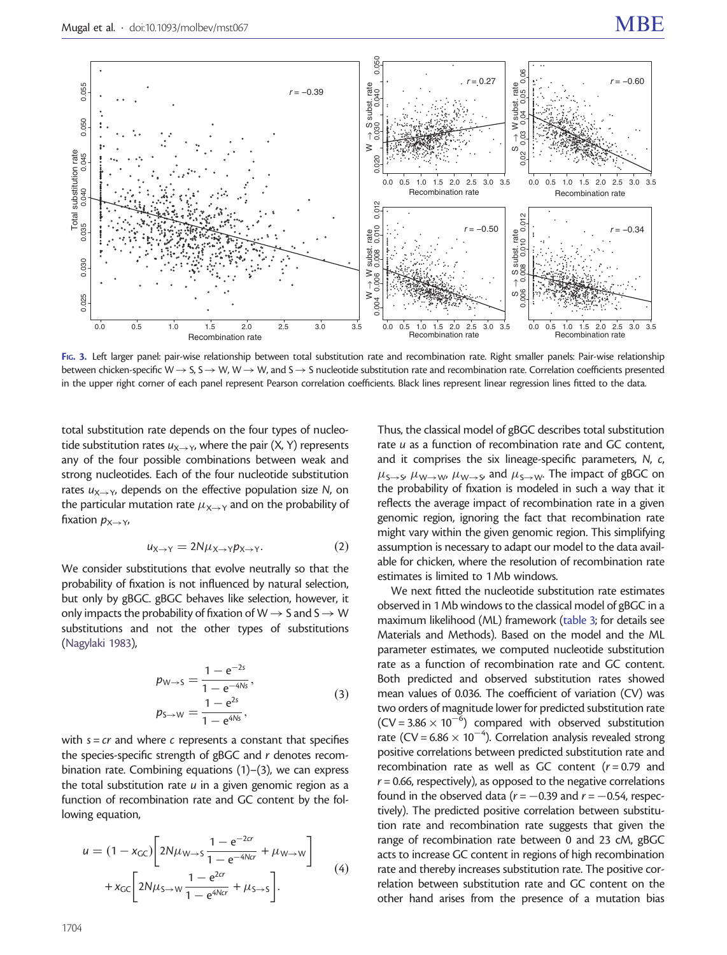<span id="page-4-0"></span>

FIG. 3. Left larger panel: pair-wise relationship between total substitution rate and recombination rate. Right smaller panels: Pair-wise relationship between chicken-specific W  $\rightarrow$  S, S  $\rightarrow$  W, W  $\rightarrow$  W, and S  $\rightarrow$  S nucleotide substitution rate and recombination rate. Correlation coefficients presented in the upper right corner of each panel represent Pearson correlation coefficients. Black lines represent linear regression lines fitted to the data.

total substitution rate depends on the four types of nucleotide substitution rates  $u_{X\rightarrow Y}$ , where the pair (X, Y) represents any of the four possible combinations between weak and strong nucleotides. Each of the four nucleotide substitution rates  $u_{X\rightarrow Y}$ , depends on the effective population size N, on the particular mutation rate  $\mu_{\mathsf{X}\rightarrow\mathsf{Y}}$  and on the probability of fixation  $p_{X\rightarrow Y}$ ,

$$
u_{X\to Y} = 2N\mu_{X\to Y}\rho_{X\to Y}.
$$
 (2)

We consider substitutions that evolve neutrally so that the probability of fixation is not influenced by natural selection, but only by gBGC. gBGC behaves like selection, however, it only impacts the probability of fixation of  $W \rightarrow S$  and  $S \rightarrow W$ substitutions and not the other types of substitutions ([Nagylaki 1983](#page-12-0)),

$$
p_{W \to S} = \frac{1 - e^{-2s}}{1 - e^{-4Ns}},
$$
  
\n
$$
p_{S \to W} = \frac{1 - e^{2s}}{1 - e^{4Ns}},
$$
\n(3)

with  $s = cr$  and where  $c$  represents a constant that specifies the species-specific strength of gBGC and r denotes recombination rate. Combining equations (1)–(3), we can express the total substitution rate  $u$  in a given genomic region as a function of recombination rate and GC content by the following equation,

$$
u = (1 - x_{\text{GC}}) \left[ 2N\mu_{\text{W}\to\text{S}} \frac{1 - e^{-2cr}}{1 - e^{-4Ncr}} + \mu_{\text{W}\to\text{W}} \right] + x_{\text{GC}} \left[ 2N\mu_{\text{S}\to\text{W}} \frac{1 - e^{2cr}}{1 - e^{4Ncr}} + \mu_{\text{S}\to\text{S}} \right].
$$
 (4)

1704

Thus, the classical model of gBGC describes total substitution rate u as a function of recombination rate and GC content, and it comprises the six lineage-specific parameters, N, c,  $\mu_{S\rightarrow S}$ ,  $\mu_{W\rightarrow W}$ ,  $\mu_{W\rightarrow S}$ , and  $\mu_{S\rightarrow W}$ . The impact of gBGC on the probability of fixation is modeled in such a way that it reflects the average impact of recombination rate in a given genomic region, ignoring the fact that recombination rate might vary within the given genomic region. This simplifying assumption is necessary to adapt our model to the data available for chicken, where the resolution of recombination rate estimates is limited to 1 Mb windows.

We next fitted the nucleotide substitution rate estimates observed in 1 Mb windows to the classical model of gBGC in a maximum likelihood (ML) framework [\(table 3;](#page-5-0) for details see Materials and Methods). Based on the model and the ML parameter estimates, we computed nucleotide substitution rate as a function of recombination rate and GC content. Both predicted and observed substitution rates showed mean values of 0.036. The coefficient of variation (CV) was two orders of magnitude lower for predicted substitution rate  $(CV = 3.86 \times 10^{-6})$  compared with observed substitution rate (CV =  $6.86 \times 10^{-4}$ ). Correlation analysis revealed strong positive correlations between predicted substitution rate and recombination rate as well as GC content  $(r = 0.79$  and  $r = 0.66$ , respectively), as opposed to the negative correlations found in the observed data ( $r = -0.39$  and  $r = -0.54$ , respectively). The predicted positive correlation between substitution rate and recombination rate suggests that given the range of recombination rate between 0 and 23 cM, gBGC acts to increase GC content in regions of high recombination rate and thereby increases substitution rate. The positive correlation between substitution rate and GC content on the other hand arises from the presence of a mutation bias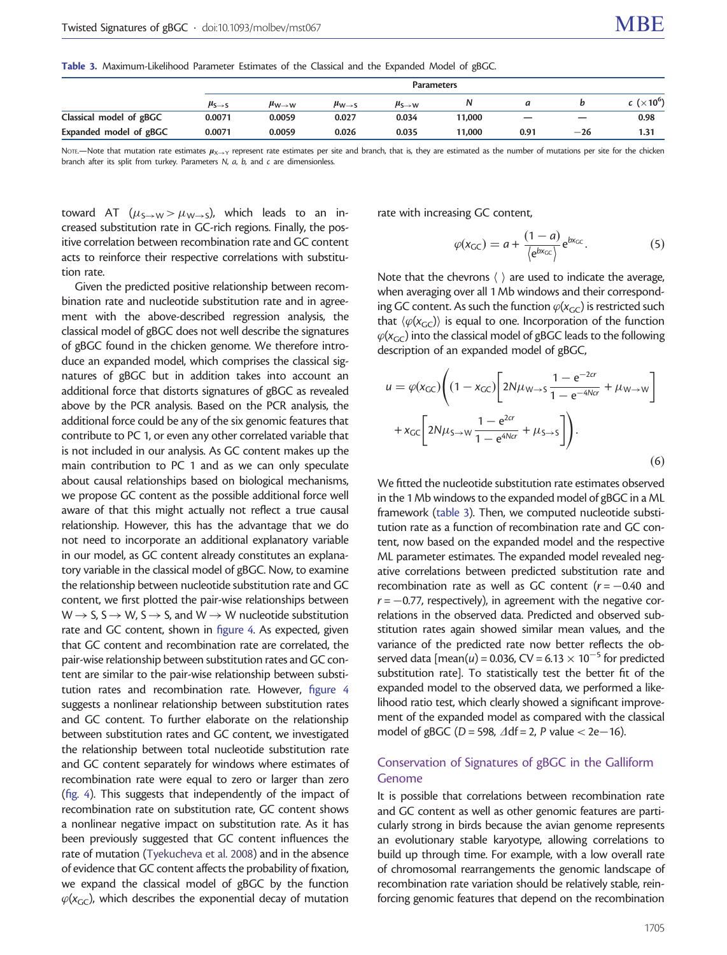<span id="page-5-0"></span>Table 3. Maximum-Likelihood Parameter Estimates of the Classical and the Expanded Model of gBGC.

|                         |                        | <b>Parameters</b>      |                        |                        |        |      |       |                   |  |
|-------------------------|------------------------|------------------------|------------------------|------------------------|--------|------|-------|-------------------|--|
|                         | $\mu_{S\rightarrow S}$ | $\mu_{W\rightarrow W}$ | $\mu_{W\rightarrow S}$ | $\mu_{S\rightarrow W}$ |        |      |       | $c~(\times 10^6)$ |  |
| Classical model of gBGC | 0.0071                 | 0.0059                 | 0.027                  | 0.034                  | 11.000 |      |       | 0.98              |  |
| Expanded model of gBGC  | 0.0071                 | 0.0059                 | 0.026                  | 0.035                  | 11,000 | 0.91 | $-26$ | 1.31              |  |

NOTE.—Note that mutation rate estimates  $\mu_{X\to Y}$  represent rate estimates per site and branch, that is, they are estimated as the number of mutations per site for the chicken branch after its split from turkey. Parameters N, a, b, and c are dimensionless.

toward AT  $(\mu_{S\rightarrow W} > \mu_{W\rightarrow S})$ , which leads to an increased substitution rate in GC-rich regions. Finally, the positive correlation between recombination rate and GC content acts to reinforce their respective correlations with substitution rate.

Given the predicted positive relationship between recombination rate and nucleotide substitution rate and in agreement with the above-described regression analysis, the classical model of gBGC does not well describe the signatures of gBGC found in the chicken genome. We therefore introduce an expanded model, which comprises the classical signatures of gBGC but in addition takes into account an additional force that distorts signatures of gBGC as revealed above by the PCR analysis. Based on the PCR analysis, the additional force could be any of the six genomic features that contribute to PC 1, or even any other correlated variable that is not included in our analysis. As GC content makes up the main contribution to PC 1 and as we can only speculate about causal relationships based on biological mechanisms, we propose GC content as the possible additional force well aware of that this might actually not reflect a true causal relationship. However, this has the advantage that we do not need to incorporate an additional explanatory variable in our model, as GC content already constitutes an explanatory variable in the classical model of gBGC. Now, to examine the relationship between nucleotide substitution rate and GC content, we first plotted the pair-wise relationships between  $W \rightarrow S$ , S  $\rightarrow W$ , S  $\rightarrow$  S, and W  $\rightarrow W$  nucleotide substitution rate and GC content, shown in [figure 4](#page-6-0). As expected, given that GC content and recombination rate are correlated, the pair-wise relationship between substitution rates and GC content are similar to the pair-wise relationship between substitution rates and recombination rate. However, [figure 4](#page-6-0) suggests a nonlinear relationship between substitution rates and GC content. To further elaborate on the relationship between substitution rates and GC content, we investigated the relationship between total nucleotide substitution rate and GC content separately for windows where estimates of recombination rate were equal to zero or larger than zero ([fig. 4](#page-6-0)). This suggests that independently of the impact of recombination rate on substitution rate, GC content shows a nonlinear negative impact on substitution rate. As it has been previously suggested that GC content influences the rate of mutation [\(Tyekucheva et al. 2008](#page-12-0)) and in the absence of evidence that GC content affects the probability of fixation, we expand the classical model of gBGC by the function  $\varphi(x_{\text{GC}})$ , which describes the exponential decay of mutation

rate with increasing GC content,

$$
\varphi(x_{\text{GC}}) = a + \frac{(1-a)}{\langle e^{bx_{\text{GC}}}\rangle} e^{bx_{\text{GC}}}.
$$
\n(5)

Note that the chevrons  $\langle \rangle$  are used to indicate the average, when averaging over all 1 Mb windows and their corresponding GC content. As such the function  $\varphi(x_{\text{GC}})$  is restricted such that  $\langle \varphi(x_{\text{GC}}) \rangle$  is equal to one. Incorporation of the function  $\varphi(x_{\text{GC}})$  into the classical model of gBGC leads to the following description of an expanded model of gBGC,

$$
u = \varphi(x_{\text{GC}}) \left( (1 - x_{\text{GC}}) \left[ 2N\mu_{\text{W} \to \text{S}} \frac{1 - e^{-2cr}}{1 - e^{-4Ncr}} + \mu_{\text{W} \to \text{W}} \right] + x_{\text{GC}} \left[ 2N\mu_{\text{S} \to \text{W}} \frac{1 - e^{2cr}}{1 - e^{4Ncr}} + \mu_{\text{S} \to \text{S}} \right] \right). \tag{6}
$$

We fitted the nucleotide substitution rate estimates observed in the 1 Mb windows to the expanded model of gBGC in a ML framework (table 3). Then, we computed nucleotide substitution rate as a function of recombination rate and GC content, now based on the expanded model and the respective ML parameter estimates. The expanded model revealed negative correlations between predicted substitution rate and recombination rate as well as GC content  $(r = -0.40$  and  $r = -0.77$ , respectively), in agreement with the negative correlations in the observed data. Predicted and observed substitution rates again showed similar mean values, and the variance of the predicted rate now better reflects the observed data  $[mean(u) = 0.036, CV = 6.13 \times 10^{-5}$  for predicted substitution rate]. To statistically test the better fit of the expanded model to the observed data, we performed a likelihood ratio test, which clearly showed a significant improvement of the expanded model as compared with the classical model of gBGC ( $D = 598$ ,  $\Delta df = 2$ , P value < 2e-16).

### Conservation of Signatures of gBGC in the Galliform Genome

It is possible that correlations between recombination rate and GC content as well as other genomic features are particularly strong in birds because the avian genome represents an evolutionary stable karyotype, allowing correlations to build up through time. For example, with a low overall rate of chromosomal rearrangements the genomic landscape of recombination rate variation should be relatively stable, reinforcing genomic features that depend on the recombination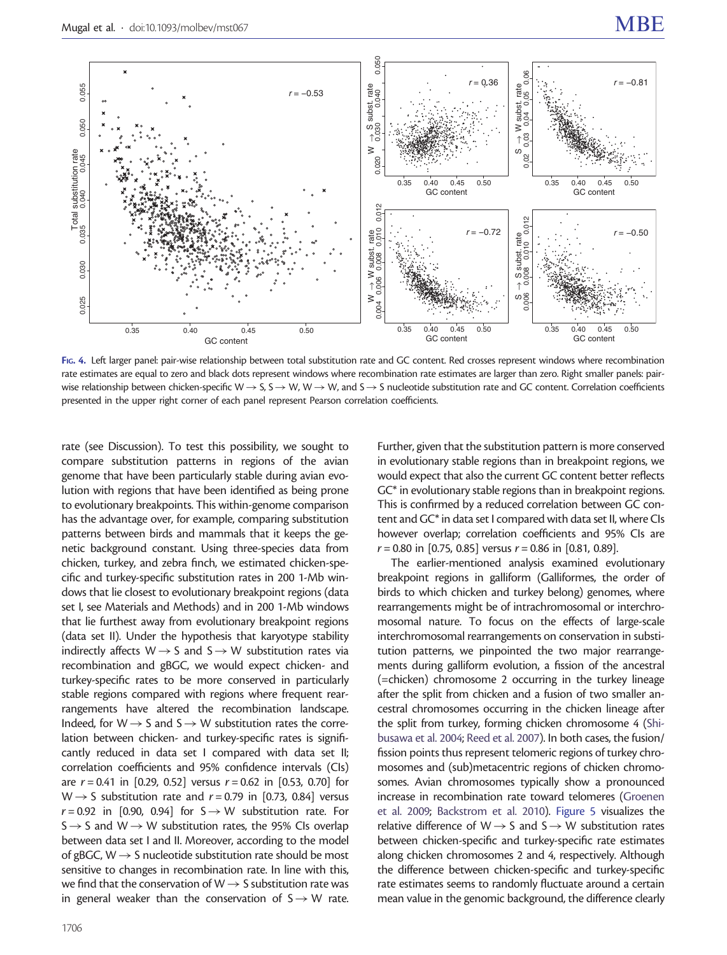<span id="page-6-0"></span>

FIG. 4. Left larger panel: pair-wise relationship between total substitution rate and GC content. Red crosses represent windows where recombination rate estimates are equal to zero and black dots represent windows where recombination rate estimates are larger than zero. Right smaller panels: pairwise relationship between chicken-specific W  $\rightarrow$  S, S  $\rightarrow$  W, W  $\rightarrow$  W, and S  $\rightarrow$  S nucleotide substitution rate and GC content. Correlation coefficients presented in the upper right corner of each panel represent Pearson correlation coefficients.

rate (see Discussion). To test this possibility, we sought to compare substitution patterns in regions of the avian genome that have been particularly stable during avian evolution with regions that have been identified as being prone to evolutionary breakpoints. This within-genome comparison has the advantage over, for example, comparing substitution patterns between birds and mammals that it keeps the genetic background constant. Using three-species data from chicken, turkey, and zebra finch, we estimated chicken-specific and turkey-specific substitution rates in 200 1-Mb windows that lie closest to evolutionary breakpoint regions (data set I, see Materials and Methods) and in 200 1-Mb windows that lie furthest away from evolutionary breakpoint regions (data set II). Under the hypothesis that karyotype stability indirectly affects  $W \rightarrow S$  and  $S \rightarrow W$  substitution rates via recombination and gBGC, we would expect chicken- and turkey-specific rates to be more conserved in particularly stable regions compared with regions where frequent rearrangements have altered the recombination landscape. Indeed, for  $W \rightarrow S$  and  $S \rightarrow W$  substitution rates the correlation between chicken- and turkey-specific rates is significantly reduced in data set I compared with data set II; correlation coefficients and 95% confidence intervals (CIs) are  $r = 0.41$  in [0.29, 0.52] versus  $r = 0.62$  in [0.53, 0.70] for  $W \rightarrow S$  substitution rate and r = 0.79 in [0.73, 0.84] versus  $r = 0.92$  in [0.90, 0.94] for  $S \rightarrow W$  substitution rate. For  $S \rightarrow S$  and  $W \rightarrow W$  substitution rates, the 95% CIs overlap between data set I and II. Moreover, according to the model of gBGC, W  $\rightarrow$  S nucleotide substitution rate should be most sensitive to changes in recombination rate. In line with this, we find that the conservation of  $W \rightarrow S$  substitution rate was in general weaker than the conservation of  $S \rightarrow W$  rate.

Further, given that the substitution pattern is more conserved in evolutionary stable regions than in breakpoint regions, we would expect that also the current GC content better reflects GC\* in evolutionary stable regions than in breakpoint regions. This is confirmed by a reduced correlation between GC content and GC\* in data set I compared with data set II, where CIs however overlap; correlation coefficients and 95% CIs are  $r = 0.80$  in [0.75, 0.85] versus  $r = 0.86$  in [0.81, 0.89].

The earlier-mentioned analysis examined evolutionary breakpoint regions in galliform (Galliformes, the order of birds to which chicken and turkey belong) genomes, where rearrangements might be of intrachromosomal or interchromosomal nature. To focus on the effects of large-scale interchromosomal rearrangements on conservation in substitution patterns, we pinpointed the two major rearrangements during galliform evolution, a fission of the ancestral (=chicken) chromosome 2 occurring in the turkey lineage after the split from chicken and a fusion of two smaller ancestral chromosomes occurring in the chicken lineage after the split from turkey, forming chicken chromosome 4 [\(Shi](#page-12-0)[busawa et al. 2004;](#page-12-0) [Reed et al. 2007\)](#page-12-0). In both cases, the fusion/ fission points thus represent telomeric regions of turkey chromosomes and (sub)metacentric regions of chicken chromosomes. Avian chromosomes typically show a pronounced increase in recombination rate toward telomeres ([Groenen](#page-11-0) [et al. 2009](#page-11-0); [Backstrom et al. 2010](#page-11-0)). [Figure 5](#page-7-0) visualizes the relative difference of  $W \rightarrow S$  and  $S \rightarrow W$  substitution rates between chicken-specific and turkey-specific rate estimates along chicken chromosomes 2 and 4, respectively. Although the difference between chicken-specific and turkey-specific rate estimates seems to randomly fluctuate around a certain mean value in the genomic background, the difference clearly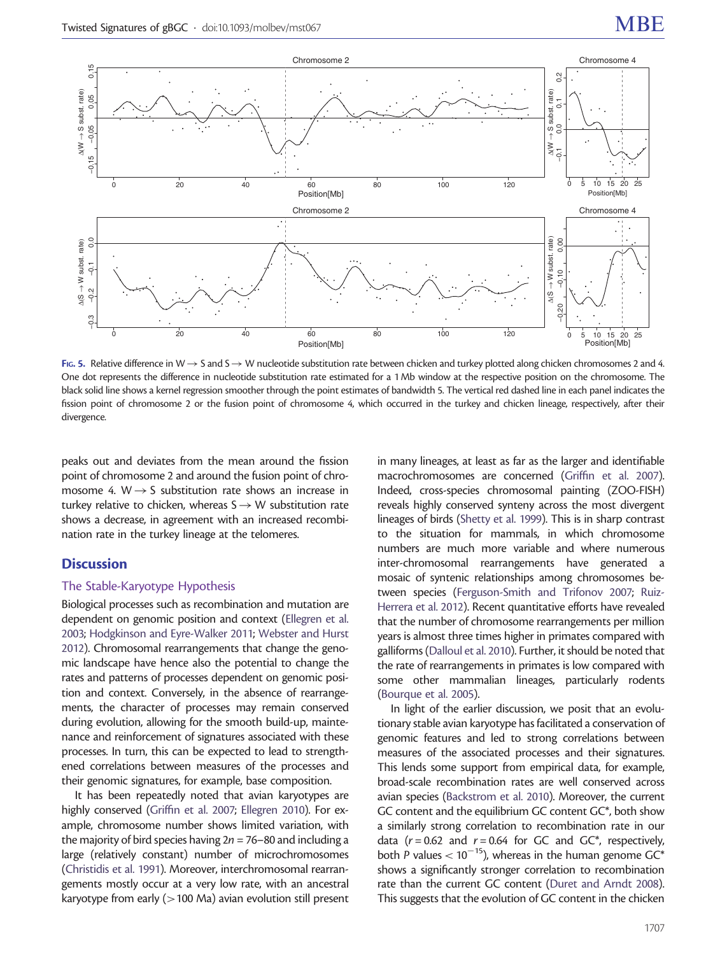<span id="page-7-0"></span>

FIG. 5. Relative difference in W  $\rightarrow$  S and S  $\rightarrow$  W nucleotide substitution rate between chicken and turkey plotted along chicken chromosomes 2 and 4. One dot represents the difference in nucleotide substitution rate estimated for a 1 Mb window at the respective position on the chromosome. The black solid line shows a kernel regression smoother through the point estimates of bandwidth 5. The vertical red dashed line in each panel indicates the fission point of chromosome 2 or the fusion point of chromosome 4, which occurred in the turkey and chicken lineage, respectively, after their divergence.

peaks out and deviates from the mean around the fission point of chromosome 2 and around the fusion point of chromosome 4.  $W \rightarrow S$  substitution rate shows an increase in turkey relative to chicken, whereas  $S \rightarrow W$  substitution rate shows a decrease, in agreement with an increased recombination rate in the turkey lineage at the telomeres.

### **Discussion**

### The Stable-Karyotype Hypothesis

Biological processes such as recombination and mutation are dependent on genomic position and context ([Ellegren et al.](#page-11-0) [2003;](#page-11-0) [Hodgkinson and Eyre-Walker 2011](#page-12-0); [Webster and Hurst](#page-12-0) [2012\)](#page-12-0). Chromosomal rearrangements that change the genomic landscape have hence also the potential to change the rates and patterns of processes dependent on genomic position and context. Conversely, in the absence of rearrangements, the character of processes may remain conserved during evolution, allowing for the smooth build-up, maintenance and reinforcement of signatures associated with these processes. In turn, this can be expected to lead to strengthened correlations between measures of the processes and their genomic signatures, for example, base composition.

It has been repeatedly noted that avian karyotypes are highly conserved [\(Griffin et al. 2007](#page-11-0); [Ellegren 2010\)](#page-11-0). For example, chromosome number shows limited variation, with the majority of bird species having  $2n = 76-80$  and including a large (relatively constant) number of microchromosomes ([Christidis et al. 1991](#page-11-0)). Moreover, interchromosomal rearrangements mostly occur at a very low rate, with an ancestral karyotype from early  $(>100$  Ma) avian evolution still present in many lineages, at least as far as the larger and identifiable macrochromosomes are concerned ([Griffin et al. 2007\)](#page-11-0). Indeed, cross-species chromosomal painting (ZOO-FISH) reveals highly conserved synteny across the most divergent lineages of birds [\(Shetty et al. 1999\)](#page-12-0). This is in sharp contrast to the situation for mammals, in which chromosome numbers are much more variable and where numerous inter-chromosomal rearrangements have generated a mosaic of syntenic relationships among chromosomes between species [\(Ferguson-Smith and Trifonov 2007;](#page-11-0) [Ruiz-](#page-12-0)[Herrera et al. 2012\)](#page-12-0). Recent quantitative efforts have revealed that the number of chromosome rearrangements per million years is almost three times higher in primates compared with galliforms [\(Dalloul et al. 2010](#page-11-0)). Further, it should be noted that the rate of rearrangements in primates is low compared with some other mammalian lineages, particularly rodents [\(Bourque et al. 2005](#page-11-0)).

In light of the earlier discussion, we posit that an evolutionary stable avian karyotype has facilitated a conservation of genomic features and led to strong correlations between measures of the associated processes and their signatures. This lends some support from empirical data, for example, broad-scale recombination rates are well conserved across avian species ([Backstrom et al. 2010\)](#page-11-0). Moreover, the current GC content and the equilibrium GC content GC\*, both show a similarly strong correlation to recombination rate in our data ( $r = 0.62$  and  $r = 0.64$  for GC and GC\*, respectively, both P values  $< 10^{-15}$ ), whereas in the human genome GC<sup>\*</sup> shows a significantly stronger correlation to recombination rate than the current GC content [\(Duret and Arndt 2008\)](#page-11-0). This suggests that the evolution of GC content in the chicken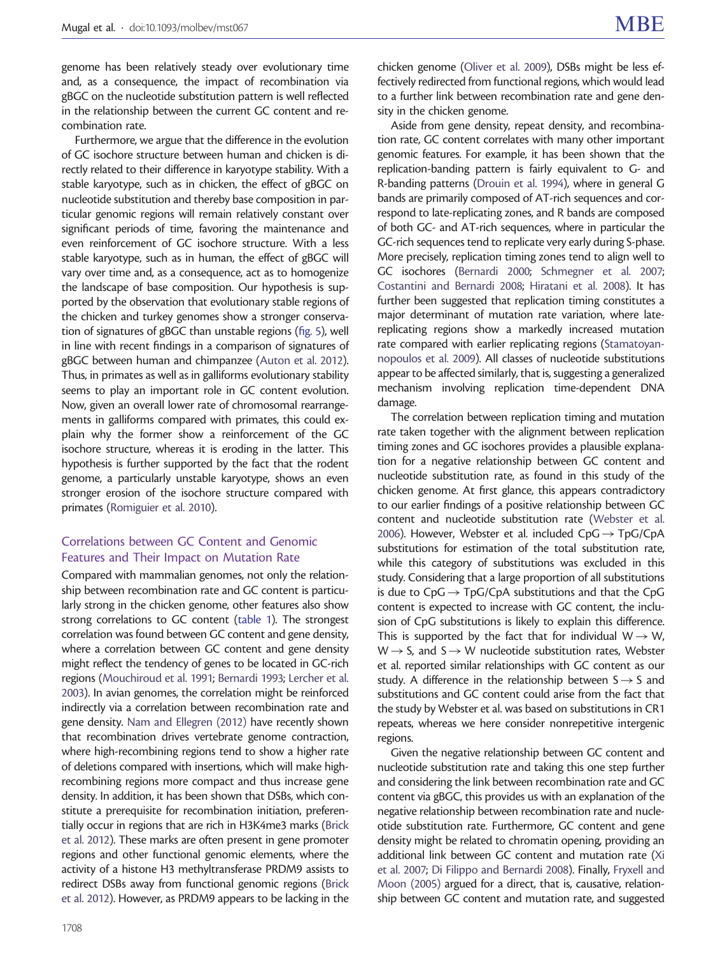genome has been relatively steady over evolutionary time and, as a consequence, the impact of recombination via gBGC on the nucleotide substitution pattern is well reflected in the relationship between the current GC content and recombination rate.

Furthermore, we argue that the difference in the evolution of GC isochore structure between human and chicken is directly related to their difference in karyotype stability. With a stable karyotype, such as in chicken, the effect of gBGC on nucleotide substitution and thereby base composition in particular genomic regions will remain relatively constant over significant periods of time, favoring the maintenance and even reinforcement of GC isochore structure. With a less stable karyotype, such as in human, the effect of gBGC will vary over time and, as a consequence, act as to homogenize the landscape of base composition. Our hypothesis is supported by the observation that evolutionary stable regions of the chicken and turkey genomes show a stronger conservation of signatures of gBGC than unstable regions ([fig. 5\)](#page-7-0), well in line with recent findings in a comparison of signatures of gBGC between human and chimpanzee ([Auton et al. 2012\)](#page-11-0). Thus, in primates as well as in galliforms evolutionary stability seems to play an important role in GC content evolution. Now, given an overall lower rate of chromosomal rearrangements in galliforms compared with primates, this could explain why the former show a reinforcement of the GC isochore structure, whereas it is eroding in the latter. This hypothesis is further supported by the fact that the rodent genome, a particularly unstable karyotype, shows an even stronger erosion of the isochore structure compared with primates [\(Romiguier et al. 2010\)](#page-12-0).

# Correlations between GC Content and Genomic Features and Their Impact on Mutation Rate

Compared with mammalian genomes, not only the relationship between recombination rate and GC content is particularly strong in the chicken genome, other features also show strong correlations to GC content [\(table 1](#page-2-0)). The strongest correlation was found between GC content and gene density, where a correlation between GC content and gene density might reflect the tendency of genes to be located in GC-rich regions [\(Mouchiroud et al. 1991](#page-12-0); [Bernardi 1993](#page-11-0); [Lercher et al.](#page-12-0) [2003\)](#page-12-0). In avian genomes, the correlation might be reinforced indirectly via a correlation between recombination rate and gene density. [Nam and Ellegren \(2012\)](#page-12-0) have recently shown that recombination drives vertebrate genome contraction, where high-recombining regions tend to show a higher rate of deletions compared with insertions, which will make highrecombining regions more compact and thus increase gene density. In addition, it has been shown that DSBs, which constitute a prerequisite for recombination initiation, preferentially occur in regions that are rich in H3K4me3 marks ([Brick](#page-11-0) [et al. 2012\)](#page-11-0). These marks are often present in gene promoter regions and other functional genomic elements, where the activity of a histone H3 methyltransferase PRDM9 assists to redirect DSBs away from functional genomic regions ([Brick](#page-11-0) [et al. 2012\)](#page-11-0). However, as PRDM9 appears to be lacking in the chicken genome [\(Oliver et al. 2009\)](#page-12-0), DSBs might be less effectively redirected from functional regions, which would lead to a further link between recombination rate and gene density in the chicken genome.

Aside from gene density, repeat density, and recombination rate, GC content correlates with many other important genomic features. For example, it has been shown that the replication-banding pattern is fairly equivalent to G- and R-banding patterns ([Drouin et al. 1994\)](#page-11-0), where in general G bands are primarily composed of AT-rich sequences and correspond to late-replicating zones, and R bands are composed of both GC- and AT-rich sequences, where in particular the GC-rich sequences tend to replicate very early during S-phase. More precisely, replication timing zones tend to align well to GC isochores ([Bernardi 2000](#page-11-0); [Schmegner et al. 2007;](#page-12-0) [Costantini and Bernardi 2008;](#page-11-0) [Hiratani et al. 2008](#page-12-0)). It has further been suggested that replication timing constitutes a major determinant of mutation rate variation, where latereplicating regions show a markedly increased mutation rate compared with earlier replicating regions [\(Stamatoyan](#page-12-0)[nopoulos et al. 2009](#page-12-0)). All classes of nucleotide substitutions appear to be affected similarly, that is, suggesting a generalized mechanism involving replication time-dependent DNA damage.

The correlation between replication timing and mutation rate taken together with the alignment between replication timing zones and GC isochores provides a plausible explanation for a negative relationship between GC content and nucleotide substitution rate, as found in this study of the chicken genome. At first glance, this appears contradictory to our earlier findings of a positive relationship between GC content and nucleotide substitution rate [\(Webster et al.](#page-12-0) [2006\)](#page-12-0). However, Webster et al. included  $CpG \rightarrow TpG/CpA$ substitutions for estimation of the total substitution rate, while this category of substitutions was excluded in this study. Considering that a large proportion of all substitutions is due to  $CpG \rightarrow TpG/CpA$  substitutions and that the CpG content is expected to increase with GC content, the inclusion of CpG substitutions is likely to explain this difference. This is supported by the fact that for individual  $W \rightarrow W$ ,  $W \rightarrow S$ , and S  $\rightarrow W$  nucleotide substitution rates, Webster et al. reported similar relationships with GC content as our study. A difference in the relationship between  $S \rightarrow S$  and substitutions and GC content could arise from the fact that the study by Webster et al. was based on substitutions in CR1 repeats, whereas we here consider nonrepetitive intergenic regions.

Given the negative relationship between GC content and nucleotide substitution rate and taking this one step further and considering the link between recombination rate and GC content via gBGC, this provides us with an explanation of the negative relationship between recombination rate and nucleotide substitution rate. Furthermore, GC content and gene density might be related to chromatin opening, providing an additional link between GC content and mutation rate ([Xi](#page-12-0) [et al. 2007](#page-12-0); [Di Filippo and Bernardi 2008\)](#page-11-0). Finally, [Fryxell and](#page-11-0) [Moon \(2005\)](#page-11-0) argued for a direct, that is, causative, relationship between GC content and mutation rate, and suggested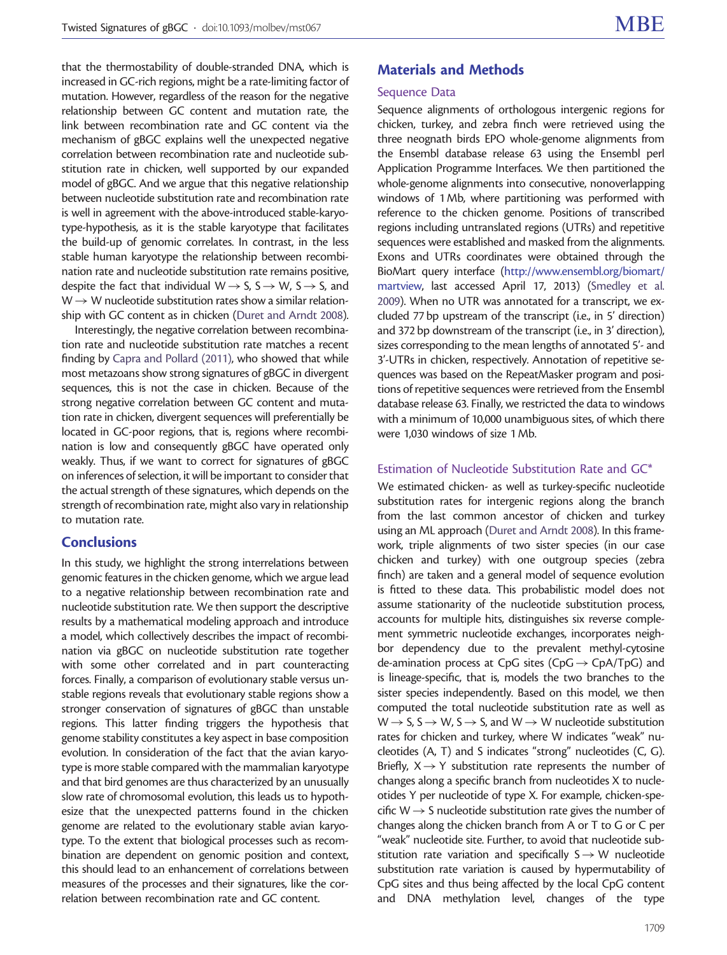that the thermostability of double-stranded DNA, which is increased in GC-rich regions, might be a rate-limiting factor of mutation. However, regardless of the reason for the negative relationship between GC content and mutation rate, the link between recombination rate and GC content via the mechanism of gBGC explains well the unexpected negative correlation between recombination rate and nucleotide substitution rate in chicken, well supported by our expanded model of gBGC. And we argue that this negative relationship between nucleotide substitution rate and recombination rate is well in agreement with the above-introduced stable-karyotype-hypothesis, as it is the stable karyotype that facilitates the build-up of genomic correlates. In contrast, in the less stable human karyotype the relationship between recombination rate and nucleotide substitution rate remains positive, despite the fact that individual  $W \rightarrow S$ ,  $S \rightarrow W$ ,  $S \rightarrow S$ , and  $W \rightarrow W$  nucleotide substitution rates show a similar relationship with GC content as in chicken ([Duret and Arndt 2008\)](#page-11-0).

Interestingly, the negative correlation between recombination rate and nucleotide substitution rate matches a recent finding by [Capra and Pollard \(2011\),](#page-11-0) who showed that while most metazoans show strong signatures of gBGC in divergent sequences, this is not the case in chicken. Because of the strong negative correlation between GC content and mutation rate in chicken, divergent sequences will preferentially be located in GC-poor regions, that is, regions where recombination is low and consequently gBGC have operated only weakly. Thus, if we want to correct for signatures of gBGC on inferences of selection, it will be important to consider that the actual strength of these signatures, which depends on the strength of recombination rate, might also vary in relationship to mutation rate.

### Conclusions

In this study, we highlight the strong interrelations between genomic features in the chicken genome, which we argue lead to a negative relationship between recombination rate and nucleotide substitution rate. We then support the descriptive results by a mathematical modeling approach and introduce a model, which collectively describes the impact of recombination via gBGC on nucleotide substitution rate together with some other correlated and in part counteracting forces. Finally, a comparison of evolutionary stable versus unstable regions reveals that evolutionary stable regions show a stronger conservation of signatures of gBGC than unstable regions. This latter finding triggers the hypothesis that genome stability constitutes a key aspect in base composition evolution. In consideration of the fact that the avian karyotype is more stable compared with the mammalian karyotype and that bird genomes are thus characterized by an unusually slow rate of chromosomal evolution, this leads us to hypothesize that the unexpected patterns found in the chicken genome are related to the evolutionary stable avian karyotype. To the extent that biological processes such as recombination are dependent on genomic position and context, this should lead to an enhancement of correlations between measures of the processes and their signatures, like the correlation between recombination rate and GC content.

# Materials and Methods

### Sequence Data

Sequence alignments of orthologous intergenic regions for chicken, turkey, and zebra finch were retrieved using the three neognath birds EPO whole-genome alignments from the Ensembl database release 63 using the Ensembl perl Application Programme Interfaces. We then partitioned the whole-genome alignments into consecutive, nonoverlapping windows of 1 Mb, where partitioning was performed with reference to the chicken genome. Positions of transcribed regions including untranslated regions (UTRs) and repetitive sequences were established and masked from the alignments. Exons and UTRs coordinates were obtained through the BioMart query interface [\(http://www.ensembl.org/biomart/](http://www.ensembl.org/biomart/martview) [martview,](http://www.ensembl.org/biomart/martview) last accessed April 17, 2013) [\(Smedley et al.](#page-12-0) [2009\)](#page-12-0). When no UTR was annotated for a transcript, we excluded 77 bp upstream of the transcript (i.e., in 5' direction) and 372 bp downstream of the transcript (i.e., in 3' direction), sizes corresponding to the mean lengths of annotated 5'- and 3'-UTRs in chicken, respectively. Annotation of repetitive sequences was based on the RepeatMasker program and positions of repetitive sequences were retrieved from the Ensembl database release 63. Finally, we restricted the data to windows with a minimum of 10,000 unambiguous sites, of which there were 1,030 windows of size 1 Mb.

## Estimation of Nucleotide Substitution Rate and GC\*

We estimated chicken- as well as turkey-specific nucleotide substitution rates for intergenic regions along the branch from the last common ancestor of chicken and turkey using an ML approach ([Duret and Arndt 2008](#page-11-0)). In this framework, triple alignments of two sister species (in our case chicken and turkey) with one outgroup species (zebra finch) are taken and a general model of sequence evolution is fitted to these data. This probabilistic model does not assume stationarity of the nucleotide substitution process, accounts for multiple hits, distinguishes six reverse complement symmetric nucleotide exchanges, incorporates neighbor dependency due to the prevalent methyl-cytosine de-amination process at CpG sites (CpG  $\rightarrow$  CpA/TpG) and is lineage-specific, that is, models the two branches to the sister species independently. Based on this model, we then computed the total nucleotide substitution rate as well as  $W \rightarrow S$ , S  $\rightarrow W$ , S  $\rightarrow$  S, and W  $\rightarrow W$  nucleotide substitution rates for chicken and turkey, where W indicates "weak" nucleotides (A, T) and S indicates "strong" nucleotides (C, G). Briefly,  $X \rightarrow Y$  substitution rate represents the number of changes along a specific branch from nucleotides X to nucleotides Y per nucleotide of type X. For example, chicken-specific  $W \rightarrow S$  nucleotide substitution rate gives the number of changes along the chicken branch from A or T to G or C per "weak" nucleotide site. Further, to avoid that nucleotide substitution rate variation and specifically  $S \rightarrow W$  nucleotide substitution rate variation is caused by hypermutability of CpG sites and thus being affected by the local CpG content and DNA methylation level, changes of the type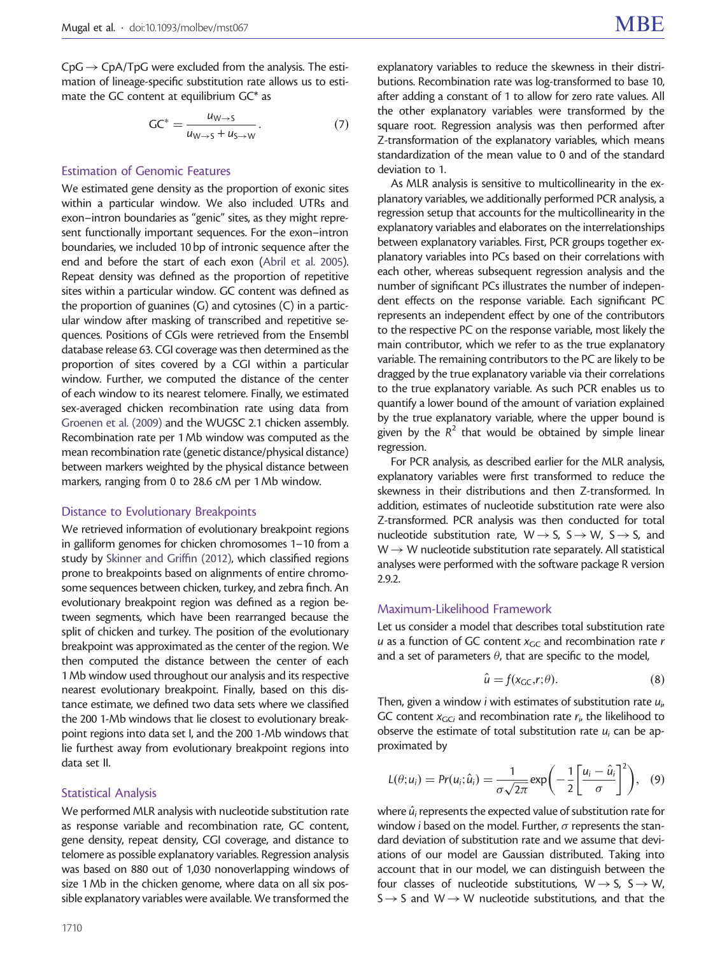$CpG \rightarrow CpA/TpG$  were excluded from the analysis. The estimation of lineage-specific substitution rate allows us to estimate the GC content at equilibrium GC<sup>\*</sup> as

$$
GC^* = \frac{u_{W \to S}}{u_{W \to S} + u_{S \to W}}.\tag{7}
$$

### Estimation of Genomic Features

We estimated gene density as the proportion of exonic sites within a particular window. We also included UTRs and exon–intron boundaries as "genic" sites, as they might represent functionally important sequences. For the exon–intron boundaries, we included 10 bp of intronic sequence after the end and before the start of each exon [\(Abril et al. 2005\)](#page-11-0). Repeat density was defined as the proportion of repetitive sites within a particular window. GC content was defined as the proportion of guanines (G) and cytosines (C) in a particular window after masking of transcribed and repetitive sequences. Positions of CGIs were retrieved from the Ensembl database release 63. CGI coverage was then determined as the proportion of sites covered by a CGI within a particular window. Further, we computed the distance of the center of each window to its nearest telomere. Finally, we estimated sex-averaged chicken recombination rate using data from [Groenen et al. \(2009\)](#page-11-0) and the WUGSC 2.1 chicken assembly. Recombination rate per 1 Mb window was computed as the mean recombination rate (genetic distance/physical distance) between markers weighted by the physical distance between markers, ranging from 0 to 28.6 cM per 1 Mb window.

#### Distance to Evolutionary Breakpoints

We retrieved information of evolutionary breakpoint regions in galliform genomes for chicken chromosomes 1–10 from a study by [Skinner and Griffin \(2012\),](#page-12-0) which classified regions prone to breakpoints based on alignments of entire chromosome sequences between chicken, turkey, and zebra finch. An evolutionary breakpoint region was defined as a region between segments, which have been rearranged because the split of chicken and turkey. The position of the evolutionary breakpoint was approximated as the center of the region. We then computed the distance between the center of each 1 Mb window used throughout our analysis and its respective nearest evolutionary breakpoint. Finally, based on this distance estimate, we defined two data sets where we classified the 200 1-Mb windows that lie closest to evolutionary breakpoint regions into data set I, and the 200 1-Mb windows that lie furthest away from evolutionary breakpoint regions into data set II.

### Statistical Analysis

We performed MLR analysis with nucleotide substitution rate as response variable and recombination rate, GC content, gene density, repeat density, CGI coverage, and distance to telomere as possible explanatory variables. Regression analysis was based on 880 out of 1,030 nonoverlapping windows of size 1 Mb in the chicken genome, where data on all six possible explanatory variables were available. We transformed the

explanatory variables to reduce the skewness in their distributions. Recombination rate was log-transformed to base 10, after adding a constant of 1 to allow for zero rate values. All the other explanatory variables were transformed by the square root. Regression analysis was then performed after Z-transformation of the explanatory variables, which means standardization of the mean value to 0 and of the standard deviation to 1.

As MLR analysis is sensitive to multicollinearity in the explanatory variables, we additionally performed PCR analysis, a regression setup that accounts for the multicollinearity in the explanatory variables and elaborates on the interrelationships between explanatory variables. First, PCR groups together explanatory variables into PCs based on their correlations with each other, whereas subsequent regression analysis and the number of significant PCs illustrates the number of independent effects on the response variable. Each significant PC represents an independent effect by one of the contributors to the respective PC on the response variable, most likely the main contributor, which we refer to as the true explanatory variable. The remaining contributors to the PC are likely to be dragged by the true explanatory variable via their correlations to the true explanatory variable. As such PCR enables us to quantify a lower bound of the amount of variation explained by the true explanatory variable, where the upper bound is given by the  $R^2$  that would be obtained by simple linear regression.

For PCR analysis, as described earlier for the MLR analysis, explanatory variables were first transformed to reduce the skewness in their distributions and then Z-transformed. In addition, estimates of nucleotide substitution rate were also Z-transformed. PCR analysis was then conducted for total nucleotide substitution rate,  $W \rightarrow S$ ,  $S \rightarrow W$ ,  $S \rightarrow S$ , and  $W \rightarrow W$  nucleotide substitution rate separately. All statistical analyses were performed with the software package R version 2.9.2.

### Maximum-Likelihood Framework

Let us consider a model that describes total substitution rate u as a function of GC content  $x_{\text{GC}}$  and recombination rate r and a set of parameters  $\theta$ , that are specific to the model,

$$
\hat{u} = f(x_{\text{GC}}, r; \theta). \tag{8}
$$

Then, given a window *i* with estimates of substitution rate  $u_{i}$ , GC content  $x_{\text{GC}i}$  and recombination rate  $r_i$ , the likelihood to observe the estimate of total substitution rate  $u_i$  can be approximated by

$$
L(\theta; u_i) = Pr(u_i; \hat{u}_i) = \frac{1}{\sigma \sqrt{2\pi}} exp\left(-\frac{1}{2}\left[\frac{u_i - \hat{u}_i}{\sigma}\right]^2\right), \quad (9)
$$

where  $\hat{u}_i$  represents the expected value of substitution rate for window *i* based on the model. Further,  $\sigma$  represents the standard deviation of substitution rate and we assume that deviations of our model are Gaussian distributed. Taking into account that in our model, we can distinguish between the four classes of nucleotide substitutions,  $W \rightarrow S$ ,  $S \rightarrow W$ ,  $S \rightarrow S$  and  $W \rightarrow W$  nucleotide substitutions, and that the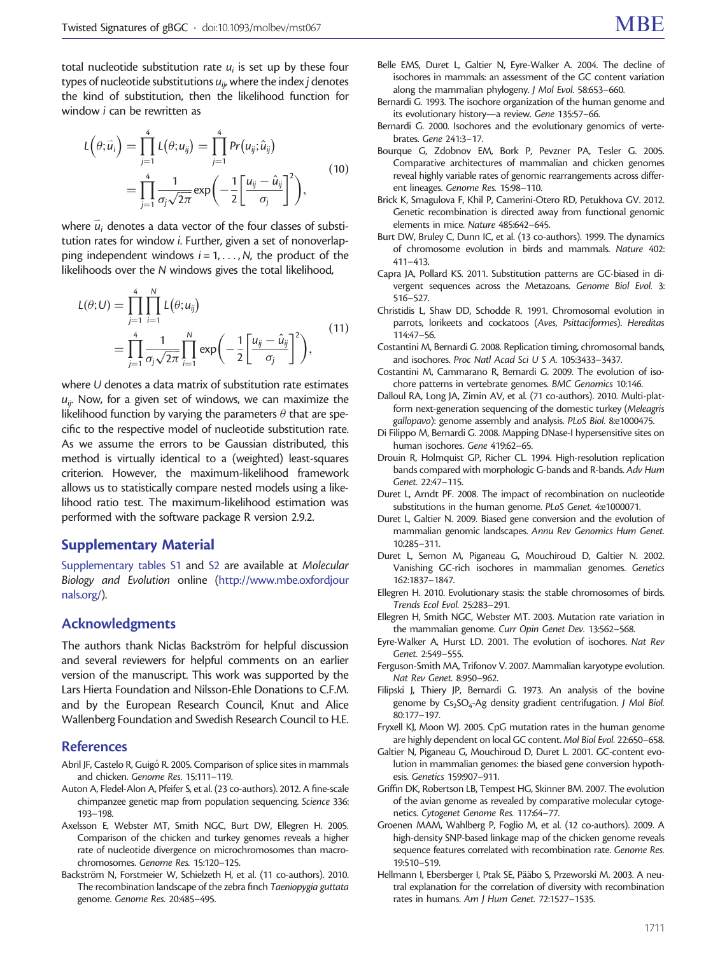<span id="page-11-0"></span>total nucleotide substitution rate  $u_i$  is set up by these four types of nucleotide substitutions  $u_{ii}$ , where the index *j* denotes the kind of substitution, then the likelihood function for window i can be rewritten as

$$
L(\theta; \vec{u}_i) = \prod_{j=1}^4 L(\theta; u_{ij}) = \prod_{j=1}^4 Pr(u_{ij}; \hat{u}_{ij})
$$
  
= 
$$
\prod_{j=1}^4 \frac{1}{\sigma_j \sqrt{2\pi}} exp\left(-\frac{1}{2} \left[\frac{u_{ij} - \hat{u}_{ij}}{\sigma_j}\right]^2\right),
$$
 (10)

where  $\vec{u}_i$  denotes a data vector of the four classes of substitution rates for window i. Further, given a set of nonoverlapping independent windows  $i = 1, \ldots, N$ , the product of the likelihoods over the N windows gives the total likelihood,

$$
L(\theta;U) = \prod_{j=1}^{4} \prod_{i=1}^{N} L(\theta; u_{ij})
$$
  
= 
$$
\prod_{j=1}^{4} \frac{1}{\sigma_j \sqrt{2\pi}} \prod_{i=1}^{N} \exp\left(-\frac{1}{2} \left[\frac{u_{ij} - \hat{u}_{ij}}{\sigma_j}\right]^{2}\right),
$$
 (11)

where U denotes a data matrix of substitution rate estimates  $u_{ii}$ . Now, for a given set of windows, we can maximize the likelihood function by varying the parameters  $\theta$  that are specific to the respective model of nucleotide substitution rate. As we assume the errors to be Gaussian distributed, this method is virtually identical to a (weighted) least-squares criterion. However, the maximum-likelihood framework allows us to statistically compare nested models using a likelihood ratio test. The maximum-likelihood estimation was performed with the software package R version 2.9.2.

# Supplementary Material

[Supplementary tables S1](http://mbe.oxfordjournals.org/lookup/suppl/doi:10.1093/molbev/mst067/-/DC1) and [S2](http://mbe.oxfordjournals.org/lookup/suppl/doi:10.1093/molbev/mst067/-/DC1) are available at Molecular Biology and Evolution online [\(http://www.mbe.oxfordjour](http://www.mbe.oxfordjournals.org/) [nals.org/\)](http://www.mbe.oxfordjournals.org/).

### Acknowledgments

The authors thank Niclas Backström for helpful discussion and several reviewers for helpful comments on an earlier version of the manuscript. This work was supported by the Lars Hierta Foundation and Nilsson-Ehle Donations to C.F.M. and by the European Research Council, Knut and Alice Wallenberg Foundation and Swedish Research Council to H.E.

# References

- Abril JF, Castelo R, Guigó R. 2005. Comparison of splice sites in mammals and chicken. Genome Res. 15:111–119.
- Auton A, Fledel-Alon A, Pfeifer S, et al. (23 co-authors). 2012. A fine-scale chimpanzee genetic map from population sequencing. Science 336: 193–198.
- Axelsson E, Webster MT, Smith NGC, Burt DW, Ellegren H. 2005. Comparison of the chicken and turkey genomes reveals a higher rate of nucleotide divergence on microchromosomes than macrochromosomes. Genome Res. 15:120–125.
- Backström N, Forstmeier W, Schielzeth H, et al. (11 co-authors). 2010. The recombination landscape of the zebra finch Taeniopygia guttata genome. Genome Res. 20:485–495.
- Belle EMS, Duret L, Galtier N, Eyre-Walker A. 2004. The decline of isochores in mammals: an assessment of the GC content variation along the mammalian phylogeny. J Mol Evol. 58:653–660.
- Bernardi G. 1993. The isochore organization of the human genome and its evolutionary history—a review. Gene 135:57–66.
- Bernardi G. 2000. Isochores and the evolutionary genomics of vertebrates. Gene 241:3–17.
- Bourque G, Zdobnov EM, Bork P, Pevzner PA, Tesler G. 2005. Comparative architectures of mammalian and chicken genomes reveal highly variable rates of genomic rearrangements across different lineages. Genome Res. 15:98–110.
- Brick K, Smagulova F, Khil P, Camerini-Otero RD, Petukhova GV. 2012. Genetic recombination is directed away from functional genomic elements in mice. Nature 485:642–645.
- Burt DW, Bruley C, Dunn IC, et al. (13 co-authors). 1999. The dynamics of chromosome evolution in birds and mammals. Nature 402: 411–413.
- Capra JA, Pollard KS. 2011. Substitution patterns are GC-biased in divergent sequences across the Metazoans. Genome Biol Evol. 3: 516–527.
- Christidis L, Shaw DD, Schodde R. 1991. Chromosomal evolution in parrots, lorikeets and cockatoos (Aves, Psittaciformes). Hereditas 114:47–56.
- Costantini M, Bernardi G. 2008. Replication timing, chromosomal bands, and isochores. Proc Natl Acad Sci U S A. 105:3433–3437.
- Costantini M, Cammarano R, Bernardi G. 2009. The evolution of isochore patterns in vertebrate genomes. BMC Genomics 10:146.
- Dalloul RA, Long JA, Zimin AV, et al. (71 co-authors). 2010. Multi-platform next-generation sequencing of the domestic turkey (Meleagris gallopavo): genome assembly and analysis. PLoS Biol. 8:e1000475.
- Di Filippo M, Bernardi G. 2008. Mapping DNase-I hypersensitive sites on human isochores. Gene 419:62–65.
- Drouin R, Holmquist GP, Richer CL. 1994. High-resolution replication bands compared with morphologic G-bands and R-bands. Adv Hum Genet. 22:47–115.
- Duret L, Arndt PF. 2008. The impact of recombination on nucleotide substitutions in the human genome. PLoS Genet. 4:e1000071.
- Duret L, Galtier N. 2009. Biased gene conversion and the evolution of mammalian genomic landscapes. Annu Rev Genomics Hum Genet. 10:285–311.
- Duret L, Semon M, Piganeau G, Mouchiroud D, Galtier N. 2002. Vanishing GC-rich isochores in mammalian genomes. Genetics 162:1837–1847.
- Ellegren H. 2010. Evolutionary stasis: the stable chromosomes of birds. Trends Ecol Evol. 25:283–291.
- Ellegren H, Smith NGC, Webster MT. 2003. Mutation rate variation in the mammalian genome. Curr Opin Genet Dev. 13:562–568.
- Eyre-Walker A, Hurst LD. 2001. The evolution of isochores. Nat Rev Genet. 2:549–555.
- Ferguson-Smith MA, Trifonov V. 2007. Mammalian karyotype evolution. Nat Rev Genet. 8:950–962.
- Filipski J, Thiery JP, Bernardi G. 1973. An analysis of the bovine genome by  $Cs<sub>2</sub>SO<sub>4</sub>$ -Ag density gradient centrifugation. J Mol Biol. 80:177–197.
- Fryxell KJ, Moon WJ. 2005. CpG mutation rates in the human genome are highly dependent on local GC content. Mol Biol Evol. 22:650–658.
- Galtier N, Piganeau G, Mouchiroud D, Duret L. 2001. GC-content evolution in mammalian genomes: the biased gene conversion hypothesis. Genetics 159:907–911.
- Griffin DK, Robertson LB, Tempest HG, Skinner BM. 2007. The evolution of the avian genome as revealed by comparative molecular cytogenetics. Cytogenet Genome Res. 117:64–77.
- Groenen MAM, Wahlberg P, Foglio M, et al. (12 co-authors). 2009. A high-density SNP-based linkage map of the chicken genome reveals sequence features correlated with recombination rate. Genome Res. 19:510–519.
- Hellmann I, Ebersberger I, Ptak SE, Pääbo S, Przeworski M. 2003. A neutral explanation for the correlation of diversity with recombination rates in humans. Am J Hum Genet. 72:1527–1535.